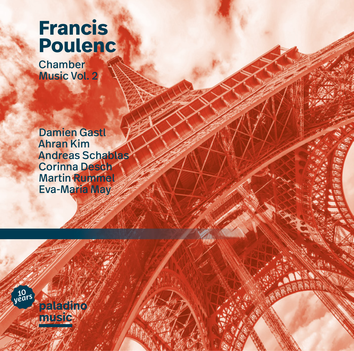# **Francis Poulenc**

**Chamber** Music Vol. 2

Damien Gastl Ahran Kim Andreas Schablas Corinna Desch **Martin Rummel** Eva-Maria May

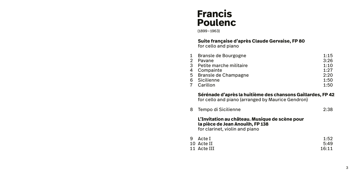# **Francis Poulenc**

(1899–1963)

# **Suite française d'après Claude Gervaise, FP 80** for cello and piano

|               | 1 Bransle de Bourgogne    | 1:15 |
|---------------|---------------------------|------|
| $\mathcal{P}$ | Pavane                    | 3:26 |
|               | 3 Petite marche militaire | 1:10 |
|               | 4 Compainte               | 1:27 |
|               | 5 Bransle de Champagne    | 2:20 |
|               | 6 Sicilienne              | 1:50 |
|               | 7 Carillon                | 1:50 |

## **Sérénade d'après la huitième des chansons Gaillardes, FP 42** for cello and piano (arranged by Maurice Gendron)

8 Tempo di Sicilienne 2:38

**L'Invitation au château. Musique de scène pour la pièce de Jean Anouilh, FP 138** for clarinet, violin and piano

9 Acte I 1:52<br>10 Acte II 5:49 10 Acte II 5:49<br>11 Acte III 5:49 11 Acte III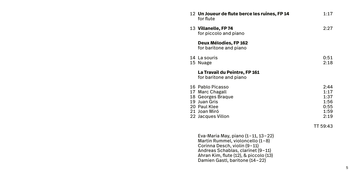| <b>12 Un Joueur de flute berce les ruines, FP 14</b><br>for flute                                                             | 1:17                                                 |
|-------------------------------------------------------------------------------------------------------------------------------|------------------------------------------------------|
| 13 Villanelle, FP 74<br>for piccolo and piano                                                                                 | 2:27                                                 |
| Deux Mélodies, FP 162<br>for baritone and piano                                                                               |                                                      |
| 14 La souris<br>15 Nuage                                                                                                      | 0:51<br>2:18                                         |
| La Travail du Peintre, FP 161<br>for baritone and piano                                                                       |                                                      |
| 16 Pablo Picasso<br>17 Marc Chagall<br>18 Georges Braque<br>19 Juan Gris<br>20 Paul Klee<br>21 Joan Miró<br>22 Jacques Villon | 2:44<br>1:17<br>1:37<br>1:56<br>0:55<br>1:59<br>2:19 |
|                                                                                                                               | TT 59:43                                             |

Eva-Maria May, piano (1–11, 13–22) Martin Rummel, violoncello (1–8) Corinna Desch, violin (9–11) Andreas Schablas, clarinet (9–11) Ahran Kim, flute (12), & piccolo (13) Damien Gastl, baritone (14–22)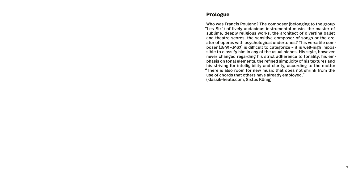# **Prologue**

Who was Francis Poulenc? The composer (belonging to the group "Les Six") of lively audacious instrumental music, the master of sublime, deeply religious works, the architect of diverting ballet and theatre scores, the sensitive composer of songs or the creator of operas with psychological undertones? This versatile composer (1899–1963) is difficult to categorize – it is well-nigh impossible to classify him in any of the usual niches. His style, however, never changed regarding his strict adherence to tonality, his emphasis on tonal elements, the refined simplicity of his textures and his striving for intelligibility and clarity, according to the motto: "There is also room for new music that does not shrink from the use of chords that others have already employed." (klassik-heute.com, Sixtus König)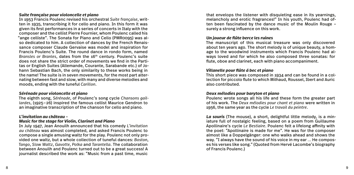## *Suite française pour violoncelle et piano*

In 1953 Francis Poulenc revised his orchestral *Suite française*, written in 1935, transcribing it for cello and piano. In this form it was given its first performances in a series of concerts in Italy with the composer and the cellist Pierre Fournier, whom Poulenc called his "ange celliste". The Sonata for Piano and Cello (PMR0095) was also dedicated to him. A collection of dances by the French Renaissance composer Claude Gervaise was model and inspiration for Francis Poulenc's Suite. The round dance in rondo form, named *Bransles or Branles*, dates from the 16th century. Poulenc's suite does not share the strict order of movements we find in the Partitas or English Suites (Allemande, Courante, Sarabande etc.) of Johann Sebastian Bach, the only similarity to these works being in the name! The suite is in seven movements, for the most part alternating between fast and slow, with many and diverse melodies and moods, ending with the tuneful *Carillon*.

#### *Sérénade pour violoncelle et piano*

The eighth song, *Sérénade*, of Poulenc's song cycle *Chansons gaillardes*, (1925–26) inspired the famous cellist Maurice Gendron to an imaginative transcription of the chanson for cello and piano.

# *L'invitation au château* –

## *Music for the stage for Violin, Clarinet and Piano*

In July 1947, Jean Anouilh announced that his comedy *L'invitation au château* was almost completed, and asked Francis Poulenc to compose a single amusing waltz for the play. Poulenc not only provided one waltz, but a whole collection of tuneful dances: *Boston*, *Tango*, *Slow Waltz*, *Gavotte*, *Polka* and *Tarantella*. The collaboration between Anouilh and Poulenc turned out to be a great success! A journalist described the work as: "Music from a past time, music

that envelops the listener with disquieting ease in its yearnings, melancholy and erotic fragrances!" In his youth, Poulenc had often been fascinated by the dance music of the Moulin Rouge – surely a strong influence on this work.

### *Un joueur de flûte berce les ruines*

The manuscript of this musical treasure was only discovered about ten years ago. The short melody is of unique beauty, a homage to the woodwind instruments which Francis Poulenc had always loved and for which he also composed three sonatas: for flute, oboe and clarinet, each with piano accompaniment.

#### *Villanelle pour flûte á bec et piano*

This short piece was composed in 1934 and can be found in a collection for piccolo flute to which Milhaud, Roussel, Ibert and Auric also contributed.

#### *Deux mélodies pour baryton et piano*

Poulenc wrote songs all his life and these form the greater part of his work. The *Deux mélodies pour chant et piano* were written in 1956, the same year as the cycle *Le travail du peintre*.

*La souris* (The mouse), a short, delightful little melody, is a miniature full of nostalgic feeling, based on a poem from Guillaume Apollinaire's cycle *Le Bestiaire*. Poulenc felt a lifelong affinity with the poet: "Apollinaire is made for me". He was for the composer almost like a Doppelgänger: one who walks ahead and shows the way. "I always have the sound of his voice in my ear … He composes his verses like song." (Quoted from Hervé Lacombe's biography of Francis Poulenc.)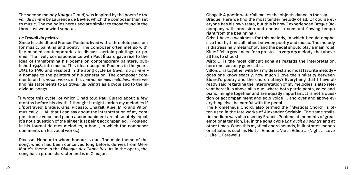The second melody *Nuage* (Cloud) was inspired by the poem *Le travail du peintre* by Laurence de Beylié, which the composer then set to music. The melodies here used are similar to those found in the three last woodwind sonatas.

#### *Le Travail du peintre*

Since his childhood Francis Poulenc lived with a threefold passion: for music, painting and poetry. The composer often met up with like-minded contemporaries to discuss certain paintings or poems. The lively correspondence with Paul Éluard gave rise to the idea of transforming his poems on contemporary painters, published 1948, into music. This idea occupied Poulenc in the years 1951 to 1956 and resulted in the song cycle *Le travail du peintre* – a homage to the painters of his generation. The composer comments on his vocal works in his *Journal de mes melodies*. Here we find his statements to *Le travail du peintre* as a cycle and to the individual songs.

"I wrote this cycle, of which I had told Paul Éluard about a few months before his death. I thought it might enrich my melodies if I 'portrayed' Braque, Gris, Picasso, Chagall, Klee, Miro and Villon musically. … All that I can say about the interpretation of my composition is: voice and piano accompaniment are absolutely equal, it's not a question of the singer just being accompanied." (Poulenc in his Journal de mes mélodies, a book, in which the composer comments on his vocal works.)

Picasso: Honour to whom honour is due. The main theme of the song, which had been conceived long before, derives from Mère Marie's theme in the *Dialogue des Carmélites*. As in the opera, the song has a proud character and is in C major.

Chagall: A poetic waterfall makes the objects dance in the sky. Braque: Here we find the most tender melody of all. Of course everyone has his own taste, but this is how I experienced *Braque* (accompany with precision and choose a constant flowing tempo right from the beginning.)

Gris: I have a weakness for this melody, in which I could emphasize the rhythmic affinities between poetry and music. The melody is distressingly melancholy and the pedal should play a main role! Klee: I felt a great need for a presto … a very dry melody, that above all has to shock!

Miro: … is the most difficult song as regards the interpretation, here one can only guess at it.

Villon: … is together with *Gris* my dearest and most favorite melody – does one know exactly, how much I love the similarity between Éluard's poetry and the church litany? Everything that I have already said regarding the interpretation of my melodies is also relevant here: it is above all a duo, where both participants, voice and piano, mingle together and are equally important. It is not a question of accompaniment and solo voice … and over and above everything else, be careful with the pedal …

The Prometheus Chord, also termed the "Mystical Chord" is often used in the late works of Alexander Scriabin. The same stylistic medium was also used by Francis Poulenc at moments of great emotional tension, i.e. in the song cycle *Le travail du peintre* and at other times. When this mystical chord sounds, it illustrates moods or situations such as Nuit … Amour … Vie … Adieu … (Night … Love … Life … Farewell)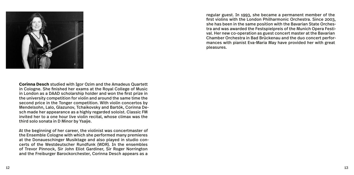

regular guest. In 1993, she became a permanent member of the first violins with the London Philharmonic Orchestra. Since 2003, she has been in the same position with the Bavarian State Orchestra and was awarded the Festspielpreis of the Munich Opera Festival. Her new co-operation as guest concert master at the Bavarian Chamber Orchestra in Bad Brückenau and the duo concert performances with pianist Eva-Maria May have provided her with great pleasures.

**Corinna Desch** studied with Igor Ozim and the Amadeus Quartett in Cologne. She finished her exams at the Royal College of Music in London as a DAAD scholarship holder and won the first prize in the university competition for violin and around the same time the second price in the Tonger competition. With violin concertos by Mendelsohn, Lalo, Glazunov, Tchaikovsky and Bartók, Corinna Desch made her appearance as a highly regarded soloist. Classic FM invited her to a one hour live violin recital, whose climax was the third solo sonata in D Minor by Ysaÿe.

At the beginning of her career, the violinist was concertmaster of the Ensemble Cologne with which she performed many premieres at the Donaueschinger Musiktage and also played in studio concerts of the Westdeutscher Rundfunk (WDR). In the ensembles of Trevor Pinnock, Sir John Eliot Gardiner, Sir Roger Norrington and the Freiburger Barockorchester, Corinna Desch appears as a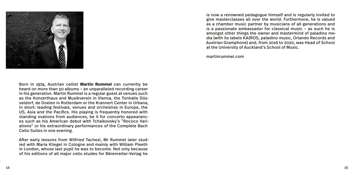

is now a renowned pedagogue himself and is regularly invited to give masterclasses all over the world. Furthermore, he is valued as a chamber music partner by musicians of all generations and is a passionate ambassador for classical music – as such he is amongst other things the owner and mastermind of paladino media (with its labels KAIROS, paladino music, Orlando Records and Austrian Gramphone) and, from 2016 to 2020, was Head of School at the University of Auckland's School of Music.

martinrummel.com

Born in 1974, Austrian cellist **Martin Rummel** can currently be heard on more than 50 albums – an unparalleled recording career in his generation. Martin Rummel is a regular guest at venues such as the Konzerthaus and Musikverein in Vienna, the Tonhalle Düsseldorf, de Doelen in Rotterdam or the Krannert Center in Urbana, in short: leading festivals, venues and orchestras in Europe, the US, Asia and the Pacifics. His playing is frequently honored with standing ovations from audiences, be it for concerto appearances such as his American debut with Tchaikovsky's "Rococo Variations" or his extraordinary performances of the Complete Bach Cello Suites in one evening.

After early lessons from Wilfried Tachezi, Mr Rummel later studied with Maria Kliegel in Cologne and mainly with William Pleeth in London, whose last pupil he was to become. Not only because of his editions of all major cello etudes for Bärenreiter-Verlag he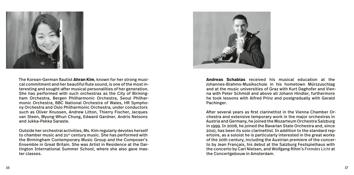

The Korean-German flautist **Ahran Kim**, known for her strong musical commitment and her beautiful flute sound, is one of the most interesting and sought-after musical personalities of her generation. She has performed with such orchestras as the City of Birmingham Orchestra, Bergen Philharmonic Orchestra, Seoul Philharmonic Orchestra, BBC National Orchestra of Wales, HR Symphony Orchestra and Oslo Philharmonic Orchestra, under conductors such as Oliver Knussen, Andrew Litton, Thierry Fischer, Jacques van Steen, Myung-Whun Chung, Edward Gardner, Andris Nelsons and Jukka-Pekka Saraste.

Outside her orchestral activities, Ms. Kim regularly devotes herself to chamber music and 21<sup>st</sup> century music. She has performed with the Birmingham Contemporary Music Group and the Composer's Ensemble in Great Britain. She was Artist in Residence at the Dartington International Summer School, where she also gave master classes.



**Andreas Schablas** received his musical education at the Johannes-Brahms-Musikschule in his hometown Mürzzuschlag and at the music universities of Graz with Kurt Daghofer and Vienna with Peter Schmidl and above all Johann Hindler, furthermore he took lessons with Alfred Prinz and postgradually with Gerald Pachinger.

After several years as first clarinettist in the Vienna Chamber Orchestra and extensive temporary work in the major orchestras in Austria and Germany, he joined the Mozarteum Orchestra Salzburg in 1999. In 2008, he joined the Bavarian State Orchestra and, since 2010, has been its solo clarinettist. In addition to the standard repertoire, as a soloist he is particularly interested in the great works of the 20th century, including the Austrian premiere of the concerto by Jean Françaix, his debut at the Salzburg Festspielhaus with the concerto by Carl Nielsen, and Wolfgang Rihm's *Fremdes Licht* at the Concertgebouw in Amsterdam.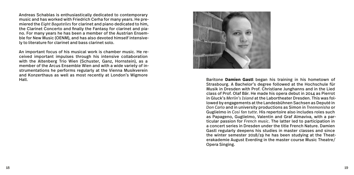Andreas Schablas is enthusiastically dedicated to contemporary music and has worked with Friedrich Cerha for many years. He premiered the *Eight Bagatelles* for clarinet and piano dedicated to him, the Clarinet Concerto and finally the Fantasy for clarinet and piano. For many years he has been a member of the Austrian Ensemble for New Music (OENM), and has also devoted himself intensively to literature for clarinet and bass clarinet solo.

An important focus of his musical work is chamber music. He received important impulses through his intensive collaboration with the Altenberg Trio Wien (Schuster, Ganz, Hornstein), as a member of the Arcus Ensemble Wien and with a wide variety of instrumentations he performs regularly at the Vienna Musikverein and Konzerthaus as well as most recently at London's Wigmore



Baritone **Damien Gastl** began his training in his hometown of Strasbourg. A Bachelor's degree followed at the Hochschule für Musik in Dresden with Prof. Christiane Junghanns and in the Lied class of Prof. Olaf Bär. He made his opera debut in 2014 as Pierrot in Gluck's *Merlin's Island* at the Labortheater Dresden. This was followed by engagements at the Landesbühnen Sachsen as Deputé in *Don Carlo* and in university productions as Simon in *Treemonisha* or Guglielmo in *Cosi fan tutte*. His repertoire also includes roles such as Papageno, Guglielmo, Valentin and Graf Almaviva, with a particular passion for *French music*. The latter led to participation in a concert series in Dresden under the title French Nature. Damien Gastl regularly deepens his studies in master classes and since the winter semester 2018/19 he has been studying at the Theaterakademie August Everding in the master course Music Theatre/ Opera Singing.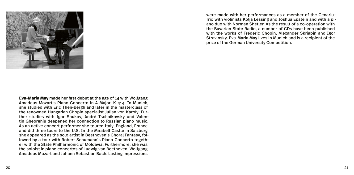

were made with her performances as a member of the Cenariu– Trio with violinists Kolja Lessing and Joshua Epstein and with a piano duo with Norman Shetler. As the result of a co-operation with the Bavarian State Radio, a number of CDs have been published with the works of Frédéric Chopin, Alexander Skriabin and Igor Stravinsky. Eva-Maria May lives in Munich and is a recipient of the prize of the German University Competition.

**Eva-Maria May** made her first debut at the age of 14 with Wolfgang Amadeus Mozart's Piano Concerto in A Major, K 414. In Munich, she studied with Eric Then-Bergh and later in the masterclass of the renowned Hungarian Chopin specialist Julian von Karoly. Further studies with Igor Shukov, André Tschaikovsky and Valentin Gheorghiu deepened her connection to Russian piano music. As an active concert performer she toured Italy, England, France and did three tours to the U.S. In the Mirabell Castle in Salzburg she appeared as the solo artist in Beethoven's Choral Fantasy, followed by a tour with Robert Schumann's Piano Concerto together with the State Philharmonic of Moldavia. Furthermore, she was the soloist in piano concertos of Ludwig van Beethoven, Wolfgang Amadeus Mozart and Johann Sebastian Bach. Lasting impressions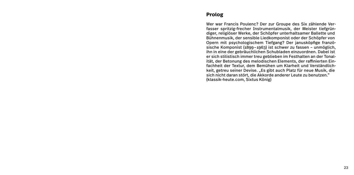# **Prolog**

Wer war Francis Poulenc? Der zur Groupe des Six zählende Verfasser spritzig-frecher Instrumentalmusik, der Meister tiefgründiger, religiöser Werke, der Schöpfer unterhaltsamer Ballette und Bühnenmusik, der sensible Liedkomponist oder der Schöpfer von Opern mit psychologischem Tiefgang? Der janusköpfige französische Komponist (1899–1963) ist schwer zu fassen – unmöglich, ihn in eine der gebräuchlichen Schubladen einzuordnen. Dabei ist er sich stilistisch immer treu geblieben im Festhalten an der Tonalität, der Betonung des melodischen Elements, der raffinierten Einfachheit der Textur, dem Bemühen um Klarheit und Verständlichkeit, getreu seiner Devise. "Es gibt auch Platz für neue Musik, die sich nicht daran stört, die Akkorde anderer Leute zu benutzen." (klassik-heute.com, Sixtus König)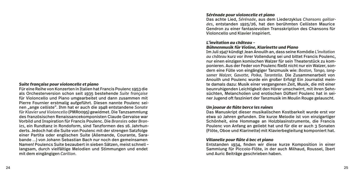#### *Suite française pour violoncelle et piano*

Für eine Reihe von Konzerten in Italien hat Francis Poulenc 1953 die als Orchesterversion schon seit 1935 bestehende *Suite française*  für Violoncello und Piano umgearbeitet und dann zusammen mit Pierre Fournier erstmalig aufgeführt. Diesen nannte Poulenc seinen "ange celliste". Ihm hat er auch die 1948 entstandene *Sonate für Klavier und Violoncello* (PMR0095) gewidmet. Die Tanzsammlung des französischen Renaissancekomponisten Claude Gervaise war Vorbild und Inspiration für Francis Poulenc. Die *Bransles* oder *Branles*, ein Rundtanz in Rondoform, sind Tanzformen des 16. Jahrhunderts. Jedoch hat die Suite von Poulenc mit der strengen Satzfolge einer Partita oder englischen Suite (Allemande, Courante, Sarabande …) von Johann Sebastian Bach nur noch den gemeinsamen Namen! Poulencs Suite bezaubert in sieben Sätzen, meist schnell – langsam, durch vielfältige Melodien und Stimmungen und endet mit dem eingängigen *Carillon*.

#### *Sérénade pour violoncelle et piano*

Das achte Lied, *Sérénade*, aus dem Liederzyklus *Chansons gaillardes*, entstanden 1925/26, hat den berühmten Cellisten Maurice Gendron zu einer fantasievollen Transskription des Chansons für Violoncello und Klavier inspiriert.

# *L'invitation au château* –

#### *Bühnenmusik für Violine, Klarinette und Piano*

Im Juli 1947 kündigt Jean Anouilh an, dass seine Komödie *L'invitation au château* kurz vor ihrer Vollendung sei und bittet Francis Poulenc, nur einen einzigen komischen Walzer für sein Theaterstück zu komponieren. Aus der Feder von Poulenc fließt nicht nur ein Walzer, sondern eine Fülle von eingängiger Tanzmusik wie: *Boston, Tango, langsamer Walzer, Gavotte, Polka, Tarantella*. Die Zusammenarbeit von Anouilh und Poulenc wurde ein großer Erfolg! Ein Journalist meinte damals dazu: Musik einer vergangenen Zeit, Musik, die mit einer beunruhigenden Leichtigkeit den Hörer umschwirrt, mit ihren Sehnsüchten, Melancholien und erotischen Düften! Poulenc hat in seiner Jugend oft fasziniert der Tanzmusik im Moulin Rouge gelauscht.

#### *Un joueur de flûte berce les ruines*

Das Manuskript dieser musikalischen Kostbarkeit wurde erst vor etwa 10 Jahren gefunden. Die kurze Melodie ist von einzigartiger Schönheit, eine Hommage an Holzblasinstrumente, die Francis Poulenc von Anfang an geliebt hat und für die er auch 3 Sonaten (Flöte, Oboe und Klarinette) mit Klavierbegleitung komponiert hat.

#### *Villanelle pour flûte á bec et piano*

Entstanden 1934, finden wir diese kurze Komposition in einer Sammlung für Piccolo-Flöte, in der auch Milhaud, Roussel, Ibert und Auric Beiträge geschrieben haben.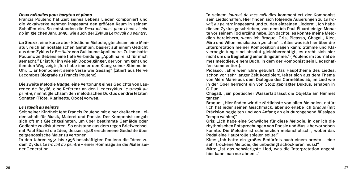#### *Deux mélodies pour baryton et piano*

Francis Poulenc hat Zeit seines Lebens Lieder komponiert und die Vokalwerke nehmen insgesamt den größten Raum in seinem Schaffen ein. So entstanden die *Deux mélodies pour chant et piano* im gleichen Jahr, 1956, wie auch der Zyklus *Le travail du peintre*.

*La Souris*, eine kurze aber köstliche Melodie, gleichsam eine Miniatur, reich an nostalgischen Gefühlen, basiert auf einem Gedicht aus dem Zyklus *Le Bestiaire* von Guillaume Apollinaire. Zu ihm hatte Poulenc zeitlebens eine tiefe Verbindung: "Apollinaire ist für mich gemacht." Er ist für ihn wie ein Doppelgänger, der vor ihm geht und ihm den Weg zeigt: "Ich habe immer den Klang seiner Stimme im Ohr. … Er komponiert seine Verse wie Gesang" (zitiert aus Hervé Lacombes Biografie zu Francis Poulenc)

Die zweite Melodie *Nuage*, eine Vertonung eines Gedichts von Laurence de Beylié, eine Referenz an den Liederzyklus *Le travail du peintre*, nimmt gleichsam den melodischen Duktus der drei letzten Sonaten (Flöte, Klarinette, Oboe) vorweg.

# *Le Travail du peintre*

Seit seiner Kindheit lebt Francis Poulenc mit einer dreifachen Leidenschaft für Musik, Malerei und Poesie. Der Komponist umgab sich oft mit Gleichgesinnten, um über bestimmte Gemälde oder Gedichte zu diskutieren. So entstand aus dem regen Briefwechsel mit Paul Éluard die Idee, dessen 1948 erschienene Gedichte über zeitgenössische Maler zu vertonen.

In den Jahren 1951 bis 1956 beschäftigten Poulenc die Ideen zu dem Zyklus *Le travail du peintre* – einer Hommage an die Maler seiner Generation.

In seinem *Journal de mes mélodies* kommentiert der Komponist sein Liedschaffen. Hier finden sich folgende Äußerungen zu *Le travail du peintre* insgesamt und zu den einzelnen Liedern: "Ich habe diesen Zyklus geschrieben, von dem ich Paul Éluard einige Monate vor seinem Tod erzählt habe. Ich dachte, es könnte meine Melodien bereichern, wenn ich Braque, Gris, Picasso, Chagall, Klee, Miro und Villon musikalisch 'zeichne' ... Alles was ich hier über die Interpretation meiner Komposition sagen kann: Stimme und Klavierbegleitung sind absolut gleichberechtigt, es dreht sich hier nicht um die Begleitung einer Singstimme." ( Poulenc im Journal de mes mélodies, einem Buch, in dem der Komponist sein Liedschaffen kommentiert).

Picasso: "Ehre wem Ehre gebührt. Das Hauptthema des Liedes, schon vor sehr langer Zeit konzipiert, leitet sich aus dem Thema von Mère Marie aus dem Dialogue des Carmélites ab, im Lied wie in der Oper herrscht ein von Stolz geprägter Duktus, erhaben in C-Dur.

Chagall: "Ein poetischer Wasserfall lässt die Obiekte am Himmel tanzen"

Braque: "Hier finden wir die zärtlichste von allen Melodien, natürlich hat jeder seinen Geschmack, aber so erlebe ich *Braque* (mit Präzision begleiten und von Anfang an ein durchgehend flüssiges Tempo wählen)"

Gris: "Ich habe eine Schwäche für diese Melodie, in der ich die rhythmischen Entsprechungen von Poesie und Musik hervorheben konnte. Die Melodie ist schmerzlich melancholisch , wobei das Pedal eine Hauptrolle spielen sollte!"

Klee: "Ich hatte ein großes Bedürfnis nach einem presto… eine sehr trockene Melodie, die unbedingt schockieren muss!"

Miro: "Ist das schwierigste Lied, was die Interpretation angeht, hier kann man nur ahnen…"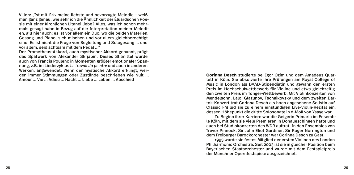Villon: "Ist mit *Gris* meine liebste und bevorzugte Melodie – weiß man ganz genau, wie sehr ich die Ähnlichkeit der Éluardschen Poesie mit einer kirchlichen Litanei liebe? Alles, was ich schon mehrmals gesagt habe in Bezug auf die Interpretation meiner Melodien, gilt hier auch: es ist vor allem ein Duo, wo die beiden Materien, Gesang und Piano, sich mischen und vor allem gleichberechtigt sind. Es ist nicht die Frage von Begleitung und Sologesang … und vor allem, seid achtsam mit dem Pedal …"

Der Prometheus-Akkord, auch mystischer Akkord genannt, prägt das Spätwerk von Alexander Skrjabin. Dieses Stilmittel wurde auch von Francis Poulenc in Momenten größter emotionaler Spannung, z.B. im Liederzyklus *Le travail du peintre* und auch in anderen Werken, angewendet. Wenn der mystische Akkord erklingt, werden immer Stimmungen oder Zustände beschrieben wie Nuit … Amour … Vie … Adieu … Nacht … Liebe … Leben … Abschied

**Corinna Desch** studierte bei Igor Ozim und dem Amadeus Quartett in Köln. Sie absolvierte ihre Prüfungen am Royal College of Music in London als DAAD-Stipendiatin und gewann den ersten Preis im Hochschulwettbewerb für Violine und etwa gleichzeitig den zweiten Preis im Tonger-Wettbewerb. Mit Violinkonzerten von Mendelsohn, Lalo, Glazunov, Tschaikovsky und dem zweiten Bartok-Konzert trat Corinna Desch als hoch angesehene Solistin auf. Classic FM lud sie zu einem einstündigen Live-Violin-Rezital ein, dessen Höhepunkt die dritte Solosonate in d-Moll von Ysaye war.

 Zu Beginn ihrer Karriere war die Geigerin Primaria im Ensemble Köln, mit dem sie viele Premieren in Donaueschingen hatte und auch bei Studiokonzerten des WDR auftrat. In den Ensembles von Trevor Pinnock, Sir John Eliot Gardiner, Sir Roger Norrington und dem Freiburger Barockorchester war Corinna Desch zu Gast.

 1993 wurde sie festes Mitglied der ersten Violinen des London Philharmonic Orchestra. Seit 2003 ist sie in gleicher Position beim Bayerischen Staatsorchester und wurde mit dem Festspielpreis der Münchner Opernfestspiele ausgezeichnet.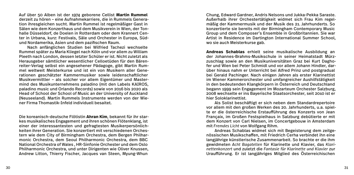Auf über 50 Alben ist der 1974 geborene Cellist **Martin Rummel** derzeit zu hören – eine Aufnahmekarriere, die in Rummels Generation ihresgleichen sucht. Martin Rummel ist regelmäßiger Gast in Sälen wie dem Konzerthaus und dem Musikverein in Wien, der Tonhalle Düsseldorf, de Doelen in Rotterdam oder dem Krannert Center in Urbana, kurz: Festivals, Säle und Orchester in Europa, Südund Nordamerika, Asien und dem pazifischen Raum.

 Nach anfänglichen Studien bei Wilfried Tachezi wechselte Rummel später zu Maria Kliegel nach Köln und vor allem zu William Pleeth nach London, dessen letzter Schüler er ist. Nicht zuletzt als Herausgeber sämtlicher wesentlicher Celloetüden für den Bärenreiter-Verlag selbst ein angesehener Pädagoge, gibt Martin Rummel weltweit Meisterkurse und ist ein von Musikern aller Generationen geschätzter Kammermusiker sowie leidenschaftlicher Musikvermittler – als solcher vor allem Eigentümer und Mastermind des Musikunternehmens paladino (mit den Labels KAIROS, paladino music und Orlando Records) sowie von 2016 bis 2020 als Head of School der School of Music an der University of Auckland (Neuseeland). Martin Rummels Instrumente werden von der Wiener Firma Thomastik-Infeld individuell besaitet.

Die koreanisch-deutsche Flötistin **Ahran Kim**, bekannt für ihr starkes musikalisches Engagement und ihren schönen Flötenklang, ist einer der interessantesten und gefragtesten Musikerpersönlichkeiten ihrer Generation. Sie konzertiert mit verschiedenen Orchestern wie dem City of Birmingham Orchestra, dem Bergen Philharmonic Orchestra, dem Seoul Philharmonic Orchestra, dem BBC National Orchestra of Wales , HR-Sinfonie Orchester und dem Oslo Philharmonic Orchestra, und unter Dirigenten wie Oliver Knussen, Andrew Litton, Thierry Fischer, Jacques van Steen, Myung-Whun

Chung, Edward Gardner, Andris Nelsons und Jukka-Pekka Saraste. Außerhalb ihrer Orchestertätigkeit widmet sich Frau Kim regelmäßig der Kammermusik und der Musik des 21. Jahrhunderts. So konzertierte sie bereits mit der Birmingham Contemporary Music Group und dem Composer's Ensemble in Großbritannien. Sie war Artist in Residence im Dartington International Summer School, wo sie auch Meisterkurse gab.

**Andreas Schablas** erhielt seine musikalische Ausbildung an der Johannes-Brahms-Musikschule in seiner Heimatstadt Mürzzuschlag sowie an den Musikuniversitäten Graz bei Kurt Daghofer und Wien bei Peter Schmidl und vor allem Johann Hindler, darüber hinaus nahm er Unterricht bei Alfred Prinz und postgradual bei Gerald Pachinger. Nach einigen Jahren als erster Klarinettist im Wiener Kammerorchester und umfangreicher Aushilfstätigkeit in den bedeutenden Klangkörpern in Österreich und Deutschland begann 1999 sein Engagement im Mozarteum Orchester Salzburg, 2008 wechselte er ins Bayerische Staatsorchester, seit 2010 ist er hier Soloklarinettist.

 Als Solist beschäftigt er sich neben dem Standardrepertoire vor allem mit den großen Werken des 20. Jahrhunderts, u.a. spielte er die österreichische Erstaufführung des Konzerts von Jean Françaix, im Großen Festspielhaus in Salzburg debütierte er mit dem Konzert von Carl Nielsen, im Concertgebouw in Amsterdam mit *Fremdes Licht* von Wolfgang Rihm.

 Andreas Schablas widmet sich mit Begeisterung dem zeitgenössischen Musikschaffen, mit Friedrich Cerha verbindet ihn eine langjährige künstlerische Zusammenarbeit. So brachte er die ihm gewidmeten *Acht Bagatellen* für Klarinette und Klavier, das *Klarinettenkonzert* und zuletzt die *Fantasie für Klarinette und Klavier* zur Uraufführung. Er ist langjähriges Mitglied des Österreichischen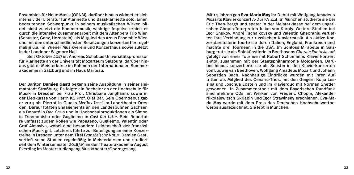Ensembles für Neue Musik (OENM), darüber hinaus widmet er sich intensiv der Literatur für Klarinette und Bassklarinette solo. Finen bedeutenden Schwerpunkt in seinem musikalischen Wirken bildet nicht zuletzt die Kammermusik, wichtige Impulse erhielt er durch die intensive Zusammenarbeit mit dem Altenberg Trio Wien (Schuster, Ganz, Hornstein), als Mitglied des Arcus Ensemble Wien und mit den unterschiedlichsten Besetzungen konzertiert er regelmäßig u.a. im Wiener Musikverein und Konzerthaus sowie zuletzt in der Londoner Wigmore Hall.

 Seit Oktober 2017 ist Andreas Schablas Universitätsprofessor für Klarinette an der Universität Mozarteum Salzburg, darüber hinaus gibt er Meisterkurse im Rahmen der Internationalen Sommerakademie in Salzburg und im Haus Marteau.

Der Bariton **Damien Gastl** begann seine Ausbildung in seiner Heimatstadt Straßburg. Es folgte ein Bachelor an der Hochschule für Musik in Dresden bei Frau Prof. Christiane Junghanns sowie in der Liedklasse von Herrn KS Prof. Olaf Bär. Sein Operndebüt gab er 2014 als Pierrot in Glucks *Merlins Insel* im Labortheater Dresden. Darauf folgten Engagements an den Landesbühnen Sachsen als Deputé in *Don Carlo* und in Hochschulproduktionen als Simon in Treemonisha oder Guglielmo in *Cosi fan tutte*. Sein Repertoire umfasst zudem Rollen wie Papageno, Guglielmo, Valentin oder Graf Almaviva, wobei eine besondere Leidenschaft der französischen Musik gilt. Letzteres führte zur Beteiligung an einer Konzertreihe in Dresden unter dem Titel *Französische Natur*. Damien Gastl vertieft seine Studien regelmäßig in Meisterkursen und studiert seit dem Wintersemester 2018/19 an der Theaterakademie August Everding im Masterstudiengang Musiktheater/Operngesang.

Mit 14 Jahren gab **Eva-Maria May** ihr Debüt mit Wolfgang Amadeus Mozarts Klavierkonzert A-Dur KV 414. In München studierte sie bei Eric Then-Bergh und später in der Meisterklasse bei dem ungarischen Chopin-Interpreten Julian von Karoly. Weitere Studien bei Igor Shukov, André Tschaikovsky und Valentin Gheorghiu vertieften ihre Verbindung zur russischen Klaviermusik. Als aktive Konzertdarstellerin tourte sie durch Italien, England, Frankreich und machte drei Tourneen in die USA. Im Schloss Mirabelle in Salzburg trat sie als Solokünstlerin in Beethovens *Chorale Fantasia* auf, gefolgt von einer Tournee mit Robert Schumanns Klavierkonzert a-Moll zusammen mit der Staatsphilharmonie Moldawien. Darüber hinaus konzertierte sie als Solistin in den Klavierkonzerten von Ludwig van Beethoven, Wolfgang Amadeus Mozart und Johann Sebastian Bach. Nachhaltige Eindrücke wurden mit ihren Auftritten als Mitglied des Cenariu-Trios, mit den Geigern Kolja Lessing und Joschua Epstein und im Klavierduo mit Norman Shetler gewonnen. In Zusammenarbeit mit dem Bayerischen Rundfunk sind mehrere CDs mit Werken von Frédéric Chopin, Alexander Nikolajewitsch Skrjabin und Igor Strawinsky erschienen. Eva-Maria May wurde mit dem Preis des Deutschen Hochschulwettbewerbs ausgezeichnet. Sie lebt in München.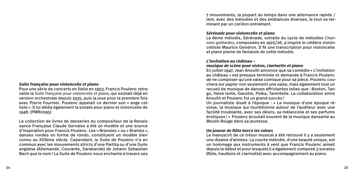#### *Suite française pour violoncelle et piano*

Pour une série de concerts en Italie en 1953, Francis Poulenc retravaille la *Suite française pour violoncelle et piano*, qui existait déjà en version orchestrale depuis 1935, puis la joue pour la première fois avec Pierre Fournier. Poulenc appelait ce dernier son « ange celliste ». Il lui dédia également la sonate pour piano et violoncelle de 1948. (PMR0095)

La collection de livres de danseries du compositeur de la Renaissance Française Claude Gervaise a été un modèle et une source d'inspiration pour Francis Poulenc. Les « Bransles » ou « Branles », danses rondes en forme de rondo, constituent un modèle bien connu au XVIème siècle. Cependant, la Suite de Poulenc n'a en commun avec les mouvements stricts d'une Partita ou d'une Suite anglaise (Allemande, Courante, Sarabande) de Johann Sebastian Bach que le nom ! La Suite de Poulenc nous enchante à travers ses

7 mouvements, la plupart du temps dans une alternance rapide / lent, avec des mélodies et des ambiances diverses, le tout se terminant par un carillon entraînant.

#### *Sérénade pour violoncelle et piano*

La 8ème mélodie, Sérénade, extraite du cycle de mélodies *Chansons gaillardes*, composées en 1925/26, a inspiré le célèbre violoncelliste Maurice Gendron. Il fit une transcription pour violoncelle et piano pleine de fantaisie de cette mélodie.

# *L'invitation au château –*

# *musique de scène pour violon, clarinette et piano*

En juillet 1947, Jean Anouilh annonce que sa comédie « L'invitation au château » est presque terminée et demande à Francis Poulenc de ne composer qu'une valse comique pour sa pièce. Poulenc couchera sur papier non seulement une valse, mais également tout un recueil de musique de danses affriolantes telles que : Boston, Tango, Valse lente, Gavotte, Polka, Tarentelle. La collaboration entre Anouilh et Poulenc fut un grand succès !

Un journaliste disait à l'époque : « La musique d'une époque révolue, la musique qui tourbillonne autour de l'auditeur avec une facilité troublante, avec ses désirs, sa mélancolie et ses parfums érotiques ! » Poulenc écoutait souvent de la musique dansante au Moulin Rouge dans sa jeunesse.

#### *Un joueur de flûte berce les ruines*

Le manuscrit de ce trésor musical a été retrouvé il y a seulement une dizaine d'années. La courte mélodie, d'une beauté unique, est un hommage aux instruments à vent que Francis Poulenc aimait depuis le début et pour lesquels il a également composé 3 sonates (flûte, hautbois et clarinette) avec accompagnement au piano.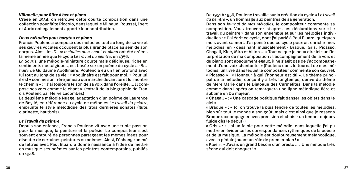# *Villanelle pour flûte à bec et piano*

Créée en 1934, on retrouve cette courte composition dans une collection pour flûte Piccolo, dans laquelle Milhaud, Roussel, Ibert et Auric ont également apporté leur contribution.

## *Deux mélodies pour baryton et piano*

Francis Poulenc a composé des mélodies tout au long de sa vie et ses œuvres vocales occupent la plus grande place au sein de son corpus. Ainsi, les *Deux mélodies pour chant et piano* ont été créées la même année que le cycle *Le travail du peintre*, en 1956.

*La Souris*, une mélodie-miniature courte mais délicieuse, riche en sentiments nostalgiques, est basée sur un poème du cycle *Le Bestiaire* de Guillaume Apollinaire. Poulenc a eu un lien profond avec lui tout au long de sa vie : « Apollinaire est fait pour moi. » Pour lui, il est « comme son frère jumeau qui marche devant lui et lui montre le chemin » : « J'ai toujours le son de sa voix dans l'oreille. … Il compose ses vers comme le chant ». (extrait de la biographie de Francis Poulenc par Hervé Lacombes)

La deuxième mélodie Nuage, adaptation d'un poème de Laurence de Beylié, en référence au cycle de mélodies *Le travail du peintre*, emprunte le style mélodique des trois dernières sonates (flûte, clarinette, hautbois).

# *Le Travail du peintre*

Depuis son enfance, Francis Poulenc vit avec une triple passion pour la musique, la peinture et la poésie. Le compositeur s'est souvent entouré de personnes partageant les mêmes idées pour discuter de certaines peintures ou poèmes. Ainsi, l'échange animé de lettres avec Paul Eluard a donné naissance à l'idée de mettre en musique ses poèmes sur les peintres contemporains, publiés en 1948.

De 1951 à 1956, Poulenc travaille sur la création du cycle « *Le travail du peintre* », un hommage aux peintres de sa génération.

Dans son *Journal de mes mélodies*, le compositeur commente sa composition. Vous trouverez ci-après les déclarations sur « Le travail du peintre » dans son ensemble et sur les mélodies individuelles : « J'ai écrit ce cycle, dont j'ai parlé à Paul Eluard, quelques mois avant sa mort. J'ai pensé que ce cycle pourrait enrichir mes mélodies en ‹ dessinant musicalement › Braque, Gris, Picasso, Chagall, Klee, Miro et Villon ... « Tout ce que je peux dire ici sur l'interprétation de ma composition : l'accompagnement de la voix et du piano sont absolument égaux, il ne s'agit pas de l'accompagnement d'une voix chantante. » (Poulenc dans le Journal de mes mélodies, un livre dans lequel le compositeur commente son œuvre). « Picasso » : « Honneur à qui l'honneur est dû ». Le thème principal de la mélodie, conçu il y a très longtemps, dérive du thème de Mère Marie dans le Dialogue des Carmélites. Dans la mélodie comme dans l'opéra on remarquera une ligne mélodique fière et sublime en Do majeur.

« Chagall » : « Une cascade poétique fait danser les objets dans le ciel »

« Braque » : « Ici on trouve la plus tendre de toutes les mélodies, bien sûr tout le monde a son goût, mais c'est ainsi que je ressens Braque (accompagner avec précision et choisir un tempo toujours fluide dès le début) »

« Gris » : « J'ai un faible pour cette mélodie, dans laquelle j'ai pu mettre en évidence les correspondances rythmiques de la poésie et de la musique. La mélodie est douloureusement mélancolique, avec la pédale jouant un rôle de premier plan ! »

« Klee » : « J'avais un grand besoin d'un presto .... Une mélodie très sèche qui doit choquer ! »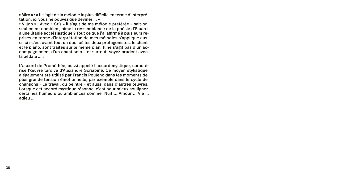« Miro » : « Il s'agit de la mélodie la plus difficile en terme d'interprétation, ici vous ne pouvez que deviner ... »

« Villon » : Avec « *Gris* » il s'agit de ma mélodie préférée – sait-on seulement combien j'aime la ressemblance de la poésie d'Eluard à une litanie ecclésiastique ? Tout ce que j'ai affirmé à plusieurs reprises en terme d'interprétation de mes mélodies s'applique aussi ici : c'est avant tout un duo, où les deux protagonistes, le chant et le piano, sont traités sur le même plan. Il ne s'agit pas d'un accompagnement d'un chant solo... et surtout, soyez prudent avec la pédale ... »

L'accord de Prométhée, aussi appelé l'accord mystique, caractérise l'œuvre tardive d'Alexandre Scriabine. Ce moyen stylistique a également été utilisé par Francis Poulenc dans les moments de plus grande tension émotionnelle, par exemple dans le cycle de chansons « Le travail du peintre » et aussi dans d'autres œuvres. Lorsque cet accord mystique résonne, c'est pour mieux souligner certaines humeurs ou ambiances comme Nuit … Amour … Vie … adieu …